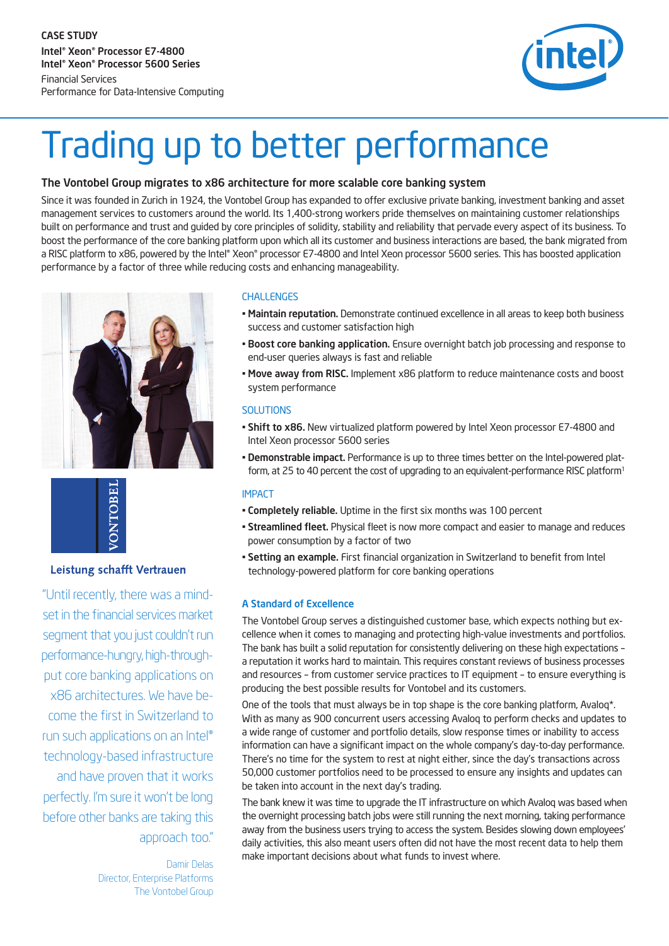CASE STUDY Intel® Xeon® Processor E7-4800 Intel® Xeon® Processor 5600 Series Financial Services Performance for Data-Intensive Computing



# Trading up to better performance

# The Vontobel Group migrates to x86 architecture for more scalable core banking system

Since it was founded in Zurich in 1924, the Vontobel Group has expanded to offer exclusive private banking, investment banking and asset management services to customers around the world. Its 1,400-strong workers pride themselves on maintaining customer relationships built on performance and trust and guided by core principles of solidity, stability and reliability that pervade every aspect of its business. To boost the performance of the core banking platform upon which all its customer and business interactions are based, the bank migrated from a RISC platform to x86, powered by the Intel® Xeon® processor E7-4800 and Intel Xeon processor 5600 series. This has boosted application performance by a factor of three while reducing costs and enhancing manageability.



**ONTOBE** 

## Leistung schafft Vertrauen

"Until recently, there was a mindset in the financial services market segment that you just couldn't run performance-hungry, high-throughput core banking applications on x86 architectures. We have become the first in Switzerland to run such applications on an Intel® technology-based infrastructure and have proven that it works perfectly. I'm sure it won't be long before other banks are taking this approach too."

> Damir Delas Director, Enterprise Platforms The Vontobel Group

#### CHALLENGES

- Maintain reputation. Demonstrate continued excellence in all areas to keep both business success and customer satisfaction high
- Boost core banking application. Ensure overnight batch job processing and response to end-user queries always is fast and reliable
- Move away from RISC. Implement x86 platform to reduce maintenance costs and boost system performance

## **SOLUTIONS**

- Shift to x86. New virtualized platform powered by Intel Xeon processor E7-4800 and Intel Xeon processor 5600 series
- Demonstrable impact. Performance is up to three times better on the Intel-powered platform, at 25 to 40 percent the cost of upgrading to an equivalent-performance RISC platform<sup>1</sup>

## IMPACT

- Completely reliable. Uptime in the first six months was 100 percent
- Streamlined fleet. Physical fleet is now more compact and easier to manage and reduces power consumption by a factor of two
- Setting an example. First financial organization in Switzerland to benefit from Intel technology-powered platform for core banking operations

## A Standard of Excellence

The Vontobel Group serves a distinguished customer base, which expects nothing but excellence when it comes to managing and protecting high-value investments and portfolios. The bank has built a solid reputation for consistently delivering on these high expectations – a reputation it works hard to maintain. This requires constant reviews of business processes and resources – from customer service practices to IT equipment – to ensure everything is producing the best possible results for Vontobel and its customers.

One of the tools that must always be in top shape is the core banking platform, Avalog\*. With as many as 900 concurrent users accessing Avaloq to perform checks and updates to a wide range of customer and portfolio details, slow response times or inability to access information can have a significant impact on the whole company's day-to-day performance. There's no time for the system to rest at night either, since the day's transactions across 50,000 customer portfolios need to be processed to ensure any insights and updates can be taken into account in the next day's trading.

The bank knew it was time to upgrade the IT infrastructure on which Avaloq was based when the overnight processing batch jobs were still running the next morning, taking performance away from the business users trying to access the system. Besides slowing down employees' daily activities, this also meant users often did not have the most recent data to help them make important decisions about what funds to invest where.